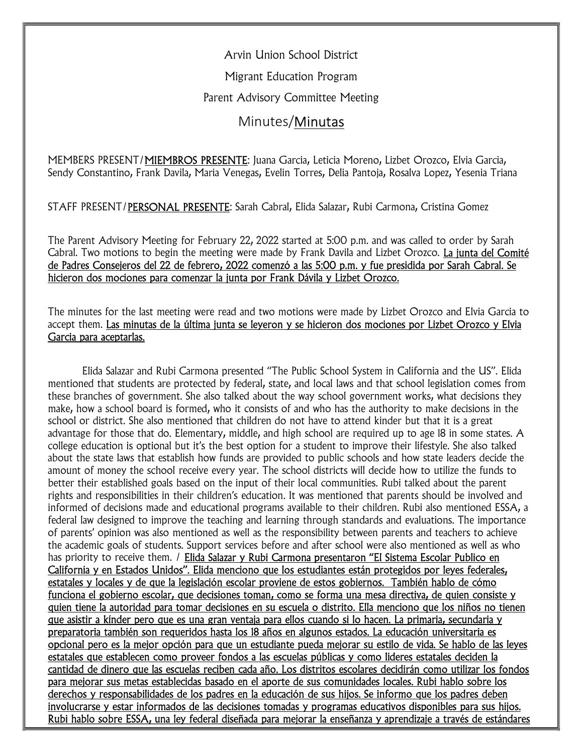Arvin Union School District

Migrant Education Program

Parent Advisory Committee Meeting

## Minutes/Minutas

MEMBERS PRESENT/MIEMBROS PRESENTE: Juana Garcia, Leticia Moreno, Lizbet Orozco, Elvia Garcia, Sendy Constantino, Frank Davila, Maria Venegas, Evelin Torres, Delia Pantoja, Rosalva Lopez, Yesenia Triana

STAFF PRESENT/PERSONAL PRESENTE: Sarah Cabral, Elida Salazar, Rubi Carmona, Cristina Gomez

The Parent Advisory Meeting for February 22, 2022 started at 5:00 p.m. and was called to order by Sarah Cabral. Two motions to begin the meeting were made by Frank Davila and Lizbet Orozco. La junta del Comité de Padres Consejeros del 22 de febrero, 2022 comenzó a las 5:00 p.m. y fue presidida por Sarah Cabral. Se hicieron dos mociones para comenzar la junta por Frank Dávila y Lizbet Orozco.

The minutes for the last meeting were read and two motions were made by Lizbet Orozco and Elvia Garcia to accept them. Las minutas de la última junta se leyeron y se hicieron dos mociones por Lizbet Orozco y Elvia Garcia para aceptarlas.

Elida Salazar and Rubi Carmona presented "The Public School System in California and the US". Elida mentioned that students are protected by federal, state, and local laws and that school legislation comes from these branches of government. She also talked about the way school government works, what decisions they make, how a school board is formed, who it consists of and who has the authority to make decisions in the school or district. She also mentioned that children do not have to attend kinder but that it is a great advantage for those that do. Elementary, middle, and high school are required up to age 18 in some states. A college education is optional but it's the best option for a student to improve their lifestyle. She also talked about the state laws that establish how funds are provided to public schools and how state leaders decide the amount of money the school receive every year. The school districts will decide how to utilize the funds to better their established goals based on the input of their local communities. Rubi talked about the parent rights and responsibilities in their children's education. It was mentioned that parents should be involved and informed of decisions made and educational programs available to their children. Rubi also mentioned ESSA, a federal law designed to improve the teaching and learning through standards and evaluations. The importance of parents' opinion was also mentioned as well as the responsibility between parents and teachers to achieve the academic goals of students. Support services before and after school were also mentioned as well as who has priority to receive them. / Elida Salazar y Rubi Carmona presentaron "El Sistema Escolar Publico en California y en Estados Unidos". Elida menciono que los estudiantes están protegidos por leyes federales, estatales y locales y de que la legislación escolar proviene de estos gobiernos. También hablo de cómo funciona el gobierno escolar, que decisiones toman, como se forma una mesa directiva, de quien consiste y quien tiene la autoridad para tomar decisiones en su escuela o distrito. Ella menciono que los niños no tienen que asistir a kínder pero que es una gran ventaja para ellos cuando si lo hacen. La primaria, secundaria y preparatoria también son requeridos hasta los 18 años en algunos estados. La educación universitaria es opcional pero es la mejor opción para que un estudiante pueda mejorar su estilo de vida. Se hablo de las leyes estatales que establecen como proveer fondos a las escuelas públicas y como lideres estatales deciden la cantidad de dinero que las escuelas reciben cada año. Los distritos escolares decidirán como utilizar los fondos para mejorar sus metas establecidas basado en el aporte de sus comunidades locales. Rubi hablo sobre los derechos y responsabilidades de los padres en la educación de sus hijos. Se informo que los padres deben involucrarse y estar informados de las decisiones tomadas y programas educativos disponibles para sus hijos. Rubi hablo sobre ESSA, una ley federal diseñada para mejorar la enseñanza y aprendizaje a través de estándares